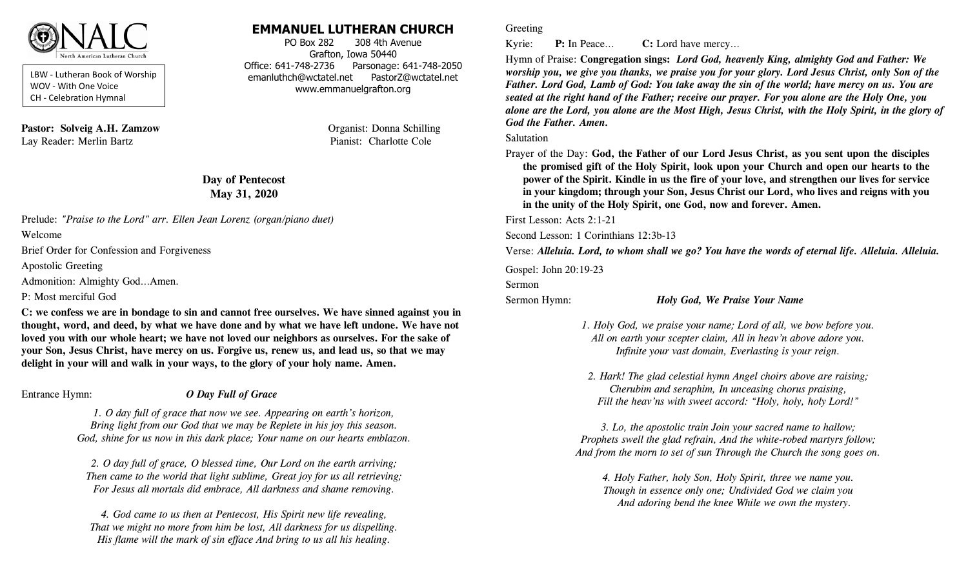

LBW - Lutheran Book of Worship WOV - With One Voice CH - Celebration Hymnal

**Pastor: Solveig A.H. Zamzow Organist: Donna Schilling** Lay Reader: Merlin Bartz Pianist: Charlotte Cole

# **EMMANUEL LUTHERAN CHURCH**

PO Box 282 308 4th Avenue Grafton, Iowa 50440 Office: 641-748-2736 Parsonage: 641-748-2050 emanluthch@wctatel.net PastorZ@wctatel.net www.emmanuelgrafton.org

# **Day of Pentecost May 31, 2020**

Prelude: *"Praise to the Lord" arr. Ellen Jean Lorenz (organ/piano duet)*

Welcome

Brief Order for Confession and Forgiveness

Apostolic Greeting

Admonition: Almighty God…Amen.

P: Most merciful God

**C: we confess we are in bondage to sin and cannot free ourselves. We have sinned against you in thought, word, and deed, by what we have done and by what we have left undone. We have not loved you with our whole heart; we have not loved our neighbors as ourselves. For the sake of your Son, Jesus Christ, have mercy on us. Forgive us, renew us, and lead us, so that we may delight in your will and walk in your ways, to the glory of your holy name. Amen.**

# Entrance Hymn: *O Day Full of Grace*

*1. O day full of grace that now we see. Appearing on earth's horizon, Bring light from our God that we may be Replete in his joy this season. God, shine for us now in this dark place; Your name on our hearts emblazon.*

*2. O day full of grace, O blessed time, Our Lord on the earth arriving; Then came to the world that light sublime, Great joy for us all retrieving; For Jesus all mortals did embrace, All darkness and shame removing.*

*4. God came to us then at Pentecost, His Spirit new life revealing, That we might no more from him be lost, All darkness for us dispelling. His flame will the mark of sin efface And bring to us all his healing.* 

### Greeting

Kyrie: **P:** In Peace… **C:** Lord have mercy…

Hymn of Praise: **Congregation sings:** *Lord God, heavenly King, almighty God and Father: We worship you, we give you thanks, we praise you for your glory. Lord Jesus Christ, only Son of the Father. Lord God, Lamb of God: You take away the sin of the world; have mercy on us. You are seated at the right hand of the Father; receive our prayer. For you alone are the Holy One, you alone are the Lord, you alone are the Most High, Jesus Christ, with the Holy Spirit, in the glory of God the Father. Amen.* 

#### Salutation

Prayer of the Day: **God, the Father of our Lord Jesus Christ, as you sent upon the disciples the promised gift of the Holy Spirit, look upon your Church and open our hearts to the power of the Spirit. Kindle in us the fire of your love, and strengthen our lives for service in your kingdom; through your Son, Jesus Christ our Lord, who lives and reigns with you in the unity of the Holy Spirit, one God, now and forever. Amen.**

First Lesson: Acts 2:1-21

Second Lesson: 1 Corinthians 12:3b-13

Verse: *Alleluia. Lord, to whom shall we go? You have the words of eternal life. Alleluia. Alleluia.*

Gospel: John 20:19-23

Sermon

### Sermon Hymn: *Holy God, We Praise Your Name*

- *1. Holy God, we praise your name; Lord of all, we bow before you. All on earth your scepter claim, All in heav'n above adore you. Infinite your vast domain, Everlasting is your reign.*
- *2. Hark! The glad celestial hymn Angel choirs above are raising; Cherubim and seraphim, In unceasing chorus praising, Fill the heav'ns with sweet accord: "Holy, holy, holy Lord!"*

*3. Lo, the apostolic train Join your sacred name to hallow; Prophets swell the glad refrain, And the white-robed martyrs follow; And from the morn to set of sun Through the Church the song goes on.*

*4. Holy Father, holy Son, Holy Spirit, three we name you. Though in essence only one; Undivided God we claim you And adoring bend the knee While we own the mystery.*